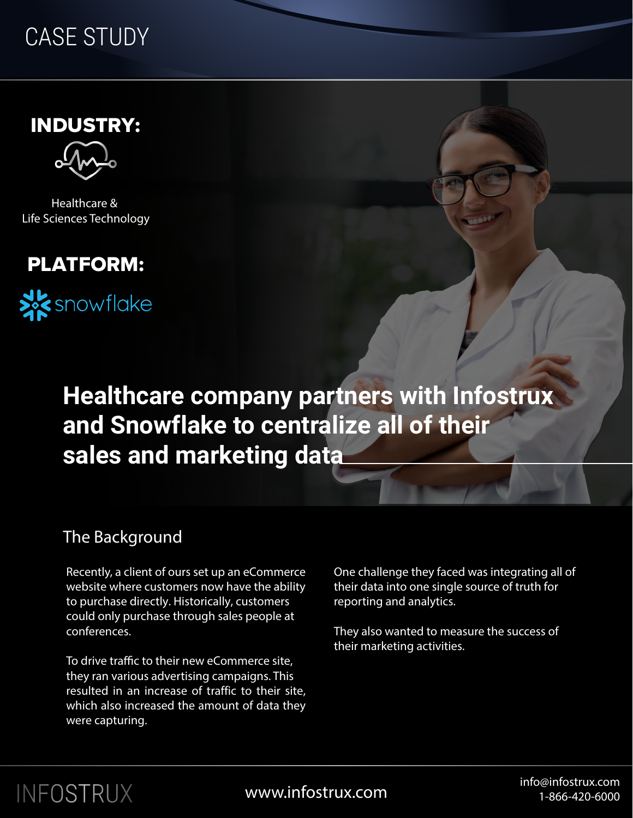## CASE STUDY

INDUSTRY:



Healthcare & Life Sciences Technology

### PLATFORM:



**Healthcare company partners with Infostrux and Snowflake to centralize all of their sales and marketing data**

### The Background

Recently, a client of ours set up an eCommerce website where customers now have the ability to purchase directly. Historically, customers could only purchase through sales people at conferences.

To drive traffic to their new eCommerce site, they ran various advertising campaigns. This resulted in an increase of traffic to their site, which also increased the amount of data they were capturing.

One challenge they faced was integrating all of their data into one single source of truth for reporting and analytics.

They also wanted to measure the success of their marketing activities.

# INFOSTRUX

info@infostrux.com info@infostrux.com<br>۱-۶۶٬۶۵۵٬۵۵۵٬۵۵۵٬۵۵۵٬۵۵۵ 1-866-420-6000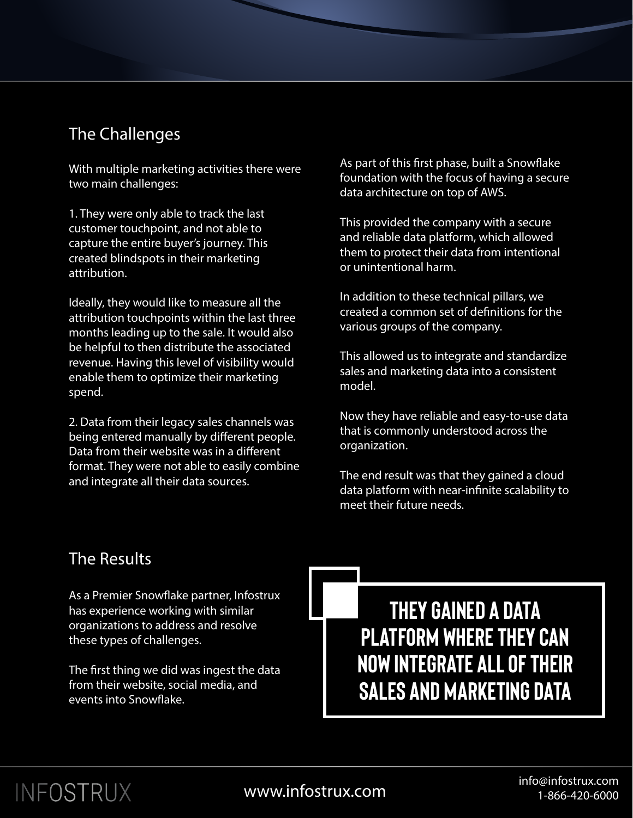#### The Challenges

With multiple marketing activities there were two main challenges:

1. They were only able to track the last customer touchpoint, and not able to capture the entire buyer's journey. This created blindspots in their marketing attribution.

Ideally, they would like to measure all the attribution touchpoints within the last three months leading up to the sale. It would also be helpful to then distribute the associated revenue. Having this level of visibility would enable them to optimize their marketing spend.

2. Data from their legacy sales channels was being entered manually by different people. Data from their website was in a different format. They were not able to easily combine and integrate all their data sources.

As part of this first phase, built a Snowflake foundation with the focus of having a secure data architecture on top of AWS.

This provided the company with a secure and reliable data platform, which allowed them to protect their data from intentional or unintentional harm.

In addition to these technical pillars, we created a common set of definitions for the various groups of the company.

This allowed us to integrate and standardize sales and marketing data into a consistent model.

Now they have reliable and easy-to-use data that is commonly understood across the organization.

The end result was that they gained a cloud data platform with near-infinite scalability to meet their future needs.

### The Results

As a Premier Snowflake partner, Infostrux has experience working with similar organizations to address and resolve these types of challenges.

The first thing we did was ingest the data from their website, social media, and events into Snowflake.

**they gained a data platform where they can now integrate all of their sales and marketing data**

# INFOSTRUX